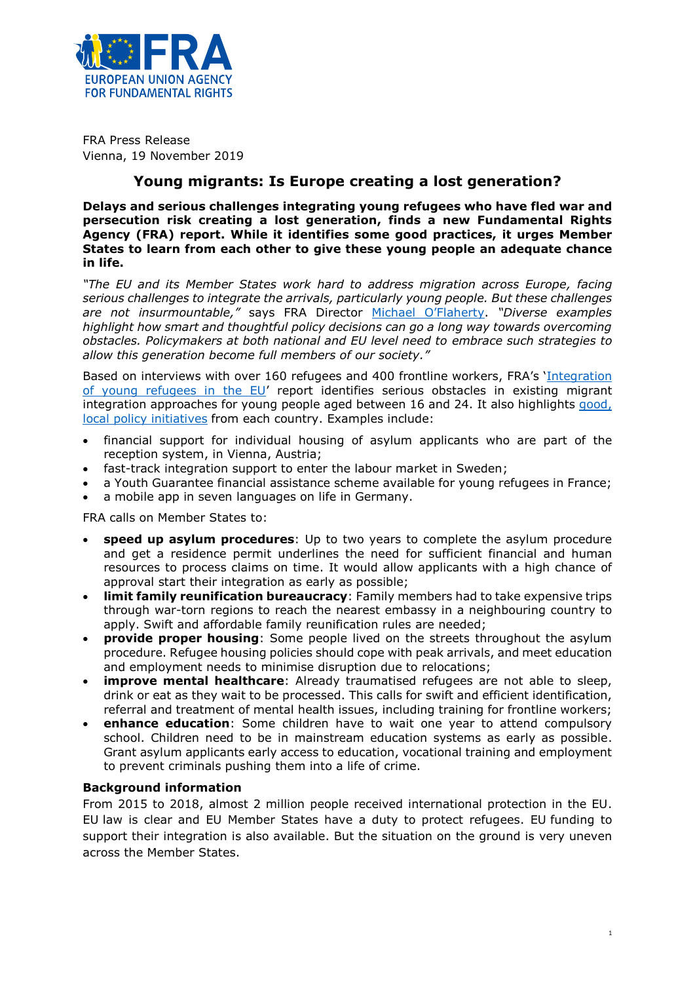

FRA Press Release Vienna, 19 November 2019

## **Young migrants: Is Europe creating a lost generation?**

**Delays and serious challenges integrating young refugees who have fled war and persecution risk creating a lost generation, finds a new Fundamental Rights Agency (FRA) report. While it identifies some good practices, it urges Member States to learn from each other to give these young people an adequate chance in life.**

*"The EU and its Member States work hard to address migration across Europe, facing serious challenges to integrate the arrivals, particularly young people. But these challenges are not insurmountable,"* says FRA Director [Michael O'Flaherty](http://fra.europa.eu/en/about-fra/structure/director). *"Diverse examples highlight how smart and thoughtful policy decisions can go a long way towards overcoming obstacles. Policymakers at both national and EU level need to embrace such strategies to allow this generation become full members of our society."*

Based on interviews with over 160 refugees and 400 frontline workers, FRA's '[Integration](https://fra.europa.eu/en/publication/2019/young-refugees-integration/)  [of young refugees in the EU](https://fra.europa.eu/en/publication/2019/young-refugees-integration/)' report identifies serious obstacles in existing migrant integration approaches for young people aged between 16 and 24. It also highlights [good,](https://fra.europa.eu/en/publication/2019/young-refugees-integration/practices)  [local policy initiatives](https://fra.europa.eu/en/publication/2019/young-refugees-integration/practices) from each country. Examples include:

- financial support for individual housing of asylum applicants who are part of the reception system, in Vienna, Austria;
- fast-track integration support to enter the labour market in Sweden;
- a Youth Guarantee financial assistance scheme available for young refugees in France;
- a mobile app in seven languages on life in Germany.

FRA calls on Member States to:

- **speed up asylum procedures**: Up to two years to complete the asylum procedure and get a residence permit underlines the need for sufficient financial and human resources to process claims on time. It would allow applicants with a high chance of approval start their integration as early as possible;
- **limit family reunification bureaucracy**: Family members had to take expensive trips through war-torn regions to reach the nearest embassy in a neighbouring country to apply. Swift and affordable family reunification rules are needed;
- **provide proper housing**: Some people lived on the streets throughout the asylum procedure. Refugee housing policies should cope with peak arrivals, and meet education and employment needs to minimise disruption due to relocations;
- **improve mental healthcare**: Already traumatised refugees are not able to sleep, drink or eat as they wait to be processed. This calls for swift and efficient identification, referral and treatment of mental health issues, including training for frontline workers;
- **enhance education**: Some children have to wait one year to attend compulsory school. Children need to be in mainstream education systems as early as possible. Grant asylum applicants early access to education, vocational training and employment to prevent criminals pushing them into a life of crime.

## **Background information**

From 2015 to 2018, almost 2 million people received international protection in the EU. EU law is clear and EU Member States have a duty to protect refugees. EU funding to support their integration is also available. But the situation on the ground is very uneven across the Member States.